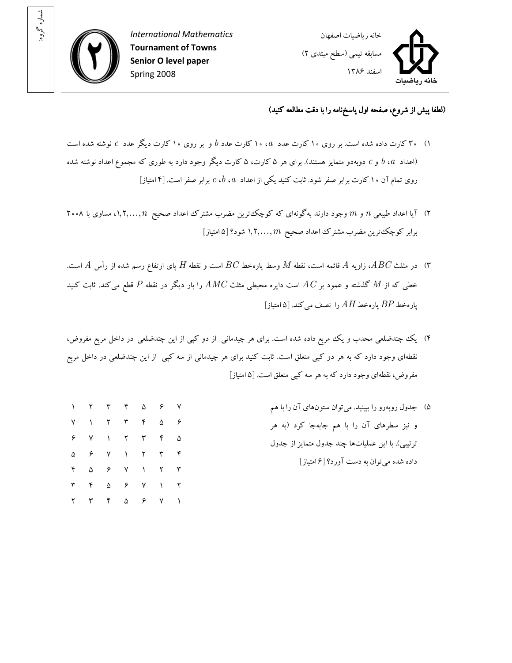

: شماره گروه

۲ ۳ ۴ ۵ ۶ ۷ ۱



## (لطفا پيش از شروع، صفحه اول پاسخ نامه را با دقت مطالعه کنيد)

- ا) ۳۰ کارت داده شده است. بر روی ۱۰ کارت عدد  $a$ ، ۱۰ کارت عدد  $b$  و بر روی ۱۰ کارت دیگر عدد  $c$  نوشته شده است اعداد  $b$ ،  $b$  و  $c$  دوبهدو متمايز هستند). براي هر ۵ کارت، ۵ کارت ديگر وجود دارد به طوري که مجموع اعداد نوشته شده) روی تمام آن ۱۰ کارت برابر صفر شود. ثابت کنيد يکي از اعداد  $a$ ،  $c$ ، برابر صفر است. [۴ امتياز]
- ۲) آيا اعداد طبيعي n و m وجود دارند به گونه ای که کوچک ترين مضرب مشترک اعداد صحيح n,۲,..., $n$  ، مساوی با ۲۰۰۸ برابر کوچک ترين مضرب مشترک اعداد صحيح  $m$  , ۲, . . ,  $n$  شود؟ [۵ امتياز]
- بای ارتفاع رسم شده از راس  $A$  قائمه است، نقطه  $M$  وسط پارهخط  $BC$  است و نقطه  $H$  پای ارتفاع رسم شده از رأس  $A$  است.  $^\circ$ خطی که از  $M$  گذشته و عمود بر  $AC$  است دايره محيطی مثلث  $AMC$  را بار ديگر در نقطه  $P$  قطع می $\omega$ د. ثابت کنيد پارهخط  $BP$  پارهخط  $AH$  را نصف می کند. [۵ امتیاز ]
- ۴) يک چندضلعي محدب و يک مربع داده شده است. برای هر چيدماني از دو کپي از اين چندضلعي در داخل مربع مفروض، نقطهاي وجود دارد که به هر دو کپي متعلق است. ثابت کنيد براي هر چيدماني از سه کپي از اين چندضلعي در داخل مربع مفروض، نقطه اي وجود دارد که به هر سه کپي متعلق است. [۵ امتياز]
- )۵ جدول به رو رو را ببينيد يم . توان ستونهاي آن را با هم و نيز سطر يها آن را با هم جابهجا کرد (به هر ترتيبي). با اين عملياتها چند جدول متمايز از جدو ل داده شده ميتوان به دست آورد؟ ۶[ امتياز] ۱ ۲ ۳ ۴ ۵ ۶ ۷ ۷ ۱ ۲ ۳ ۴ ۵ ۶ ۶ ۷ ۱ ۲ ۳ ۴ ۵ ۵ ۶ ۷ ۱ ۲ ۳ ۴ ۴ ۵ ۶ ۷ ۱ ۲ ۳ ۳ ۴ ۵ ۶ ۷ ۱ ۲